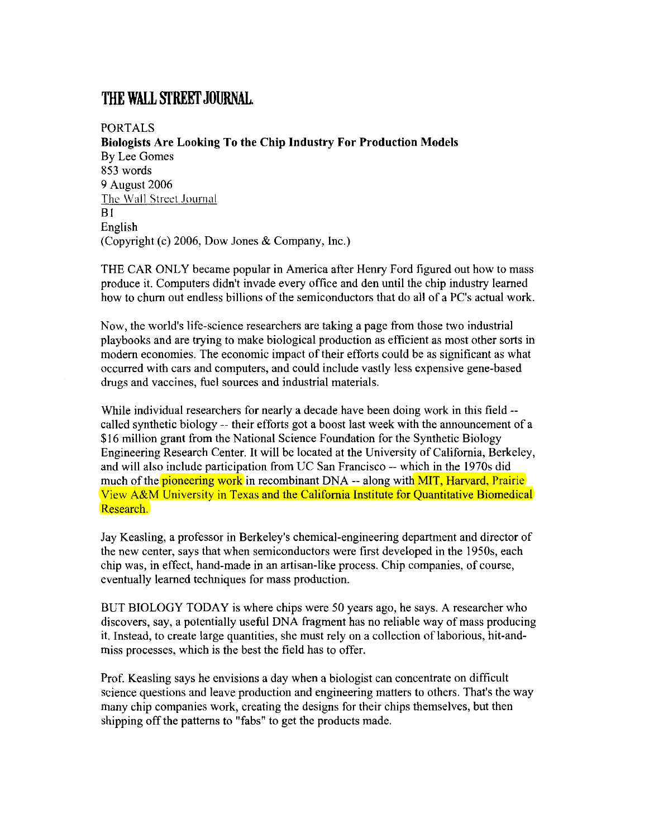## **THE WALL STREET JOURNAL.**

PORTALS **Biologists Are Looking To the Chip Industry For Production Models**  By Lee Gomes 853 words 9 August 2006 The Wall Street Journal B1 English (Copyright (c) 2006, Dow Jones & Company, Inc.)

THE CAR ONLY became popular in America after Henry Ford figured out how to mass produce it. Computers didn't invade every office and den until the chip industry learned how to chum out endless billions of the semiconductors that do all of a PC's actual work.

Now, the world's life-science researchers are taking a page from those two industrial playbooks and are trying to make biological production as efficient as most other sorts in modem economies. The economic impact of their efforts could be as significant as what occurred with cars and computers, and could include vastly less expensive gene-based drugs and vaccines, fuel sources and industrial materials.

While individual researchers for nearly a decade have been doing work in this field -called synthetic biology -- their efforts got a boost last week with the announcement of a \$16 million grant from the National Science Foundation for the Synthetic Biology Engineering Research Center. It will be located at the University of California, Berkeley, and will also include participation from UC San Francisco -- which in the 1970s did much of the **pioneering work** in recombinant DNA -- along with **MIT**, Harvard, Prairie View A&M University in Texas and the California Institute for Quantitative Biomedical Research.

Jay Keasling, a professor in Berkeley's chemical-engineering department and director of the new center, says that when semiconductors were first developed in the 1950s, each chip was, in effect, hand-made in an artisan-like process. Chip companies, of course, eventually learned techniques for mass production.

BUT BIOLOGY TODAY is where chips were 50 years ago, he says. A researcher who discovers, say, a potentially useful DNA fragment has no reliable way of mass producing it. Instead, to create large quantities, she must rely on a collection of laborious, hit-andmiss processes, which is the best the field has to offer.

Prof. Keasling says he envisions a day when a biologist can concentrate on difficult science questions and leave production and engineering matters to others. That's the way many chip companies work, creating the designs for their chips themselves, but then shipping off the patterns to "fabs" to get the products made.